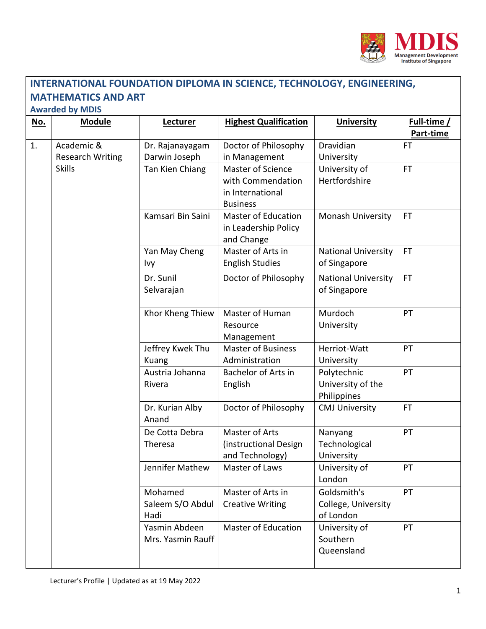

## **MATHEMATICS AND ART Awarded by MDIS No. Module Lecturer Highest Qualification University Full-time / Part-time** 1. Academic & Research Writing Skills Dr. Rajanayagam Darwin Joseph Doctor of Philosophy in Management Dravidian University FT Tan Kien Chiang  $\parallel$  Master of Science with Commendation in International Business University of Hertfordshire FT Kamsari Bin Saini  $\parallel$  Master of Education in Leadership Policy and Change Monash University | FT Yan May Cheng Ivy Master of Arts in English Studies National University of Singapore FT Dr. Sunil Selvarajan Doctor of Philosophy  $\parallel$  National University of Singapore FT Khor Kheng Thiew | Master of Human Resource Management Murdoch University PT Jeffrey Kwek Thu Kuang Master of Business Administration Herriot-Watt University PT Austria Johanna Rivera Bachelor of Arts in English Polytechnic University of the Philippines PT Dr. Kurian Alby Anand Doctor of Philosophy | CMJ University | FT De Cotta Debra Theresa Master of Arts (instructional Design and Technology) Nanyang **Technological** University PT Jennifer Mathew | Master of Laws | University of London PT Mohamed Saleem S/O Abdul Hadi Master of Arts in Creative Writing Goldsmith's College, University of London PT Yasmin Abdeen Mrs. Yasmin Rauff Master of Education  $\Box$  University of Southern Queensland PT

**INTERNATIONAL FOUNDATION DIPLOMA IN SCIENCE, TECHNOLOGY, ENGINEERING,**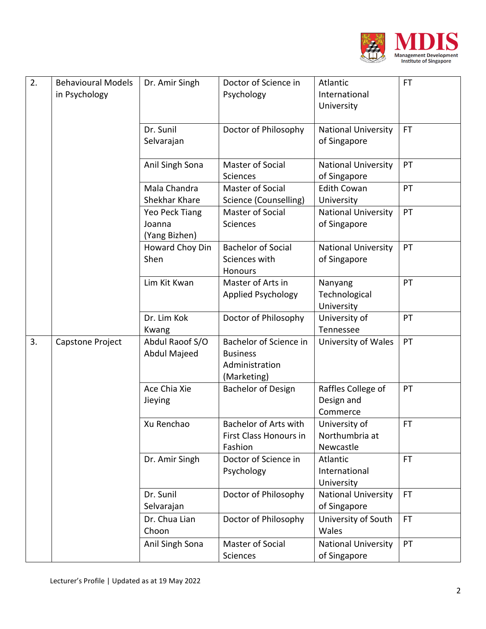

| 2. | <b>Behavioural Models</b><br>in Psychology | Dr. Amir Singh                            | Doctor of Science in<br>Psychology                                         | Atlantic<br>International<br>University      | <b>FT</b> |
|----|--------------------------------------------|-------------------------------------------|----------------------------------------------------------------------------|----------------------------------------------|-----------|
|    |                                            | Dr. Sunil<br>Selvarajan                   | Doctor of Philosophy                                                       | <b>National University</b><br>of Singapore   | <b>FT</b> |
|    |                                            | Anil Singh Sona                           | Master of Social<br><b>Sciences</b>                                        | <b>National University</b><br>of Singapore   | PT        |
|    |                                            | Mala Chandra<br>Shekhar Khare             | Master of Social<br>Science (Counselling)                                  | <b>Edith Cowan</b><br>University             | PT        |
|    |                                            | Yeo Peck Tiang<br>Joanna<br>(Yang Bizhen) | Master of Social<br>Sciences                                               | <b>National University</b><br>of Singapore   | PT        |
|    |                                            | Howard Choy Din<br>Shen                   | <b>Bachelor of Social</b><br>Sciences with<br>Honours                      | <b>National University</b><br>of Singapore   | PT        |
|    |                                            | Lim Kit Kwan                              | Master of Arts in<br><b>Applied Psychology</b>                             | Nanyang<br>Technological<br>University       | PT        |
|    |                                            | Dr. Lim Kok<br>Kwang                      | Doctor of Philosophy                                                       | University of<br>Tennessee                   | PT        |
| 3. | Capstone Project                           | Abdul Raoof S/O<br>Abdul Majeed           | Bachelor of Science in<br><b>Business</b><br>Administration<br>(Marketing) | University of Wales                          | PT        |
|    |                                            | Ace Chia Xie<br>Jieying                   | <b>Bachelor of Design</b>                                                  | Raffles College of<br>Design and<br>Commerce | PT        |
|    |                                            | Xu Renchao                                | <b>Bachelor of Arts with</b><br>First Class Honours in<br>Fashion          | University of<br>Northumbria at<br>Newcastle | <b>FT</b> |
|    |                                            | Dr. Amir Singh                            | Doctor of Science in<br>Psychology                                         | Atlantic<br>International<br>University      | <b>FT</b> |
|    |                                            | Dr. Sunil<br>Selvarajan                   | Doctor of Philosophy                                                       | <b>National University</b><br>of Singapore   | FT.       |
|    |                                            | Dr. Chua Lian<br>Choon                    | Doctor of Philosophy                                                       | University of South<br>Wales                 | <b>FT</b> |
|    |                                            | Anil Singh Sona                           | Master of Social<br><b>Sciences</b>                                        | <b>National University</b><br>of Singapore   | PT        |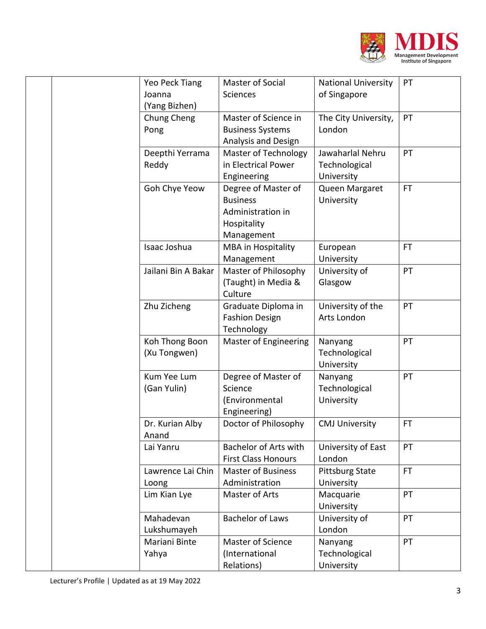

|  | Yeo Peck Tiang      | Master of Social             | <b>National University</b> | PT        |
|--|---------------------|------------------------------|----------------------------|-----------|
|  | Joanna              | Sciences                     | of Singapore               |           |
|  | (Yang Bizhen)       |                              |                            |           |
|  | Chung Cheng         | Master of Science in         | The City University,       | PT        |
|  | Pong                | <b>Business Systems</b>      | London                     |           |
|  |                     | Analysis and Design          |                            |           |
|  | Deepthi Yerrama     | <b>Master of Technology</b>  | Jawaharlal Nehru           | PT        |
|  | Reddy               | in Electrical Power          | Technological              |           |
|  |                     | Engineering                  | University                 |           |
|  | Goh Chye Yeow       | Degree of Master of          | Queen Margaret             | <b>FT</b> |
|  |                     | <b>Business</b>              | University                 |           |
|  |                     | Administration in            |                            |           |
|  |                     | Hospitality                  |                            |           |
|  |                     | Management                   |                            |           |
|  | Isaac Joshua        | <b>MBA</b> in Hospitality    | European                   | <b>FT</b> |
|  |                     | Management                   | University                 |           |
|  | Jailani Bin A Bakar | Master of Philosophy         | University of              | PT        |
|  |                     | (Taught) in Media &          | Glasgow                    |           |
|  |                     | Culture                      |                            |           |
|  | Zhu Zicheng         | Graduate Diploma in          | University of the          | PT        |
|  |                     | <b>Fashion Design</b>        | Arts London                |           |
|  |                     | Technology                   |                            |           |
|  | Koh Thong Boon      | <b>Master of Engineering</b> | Nanyang                    | PT        |
|  | (Xu Tongwen)        |                              | Technological              |           |
|  |                     |                              | University                 |           |
|  | Kum Yee Lum         | Degree of Master of          | Nanyang                    | PT        |
|  | (Gan Yulin)         | Science                      | Technological              |           |
|  |                     | (Environmental               | University                 |           |
|  |                     | Engineering)                 |                            |           |
|  | Dr. Kurian Alby     | Doctor of Philosophy         | <b>CMJ University</b>      | <b>FT</b> |
|  | Anand               |                              |                            |           |
|  | Lai Yanru           | <b>Bachelor of Arts with</b> | University of East         | PT        |
|  |                     | <b>First Class Honours</b>   | London                     |           |
|  | Lawrence Lai Chin   | <b>Master of Business</b>    | <b>Pittsburg State</b>     | FT.       |
|  | Loong               | Administration               | University                 |           |
|  | Lim Kian Lye        | Master of Arts               | Macquarie                  | PT        |
|  |                     |                              | University                 |           |
|  | Mahadevan           | <b>Bachelor of Laws</b>      | University of              | PT        |
|  | Lukshumayeh         |                              | London                     |           |
|  | Mariani Binte       | Master of Science            | Nanyang                    | PT        |
|  | Yahya               | (International               | Technological              |           |
|  |                     | Relations)                   | University                 |           |
|  |                     |                              |                            |           |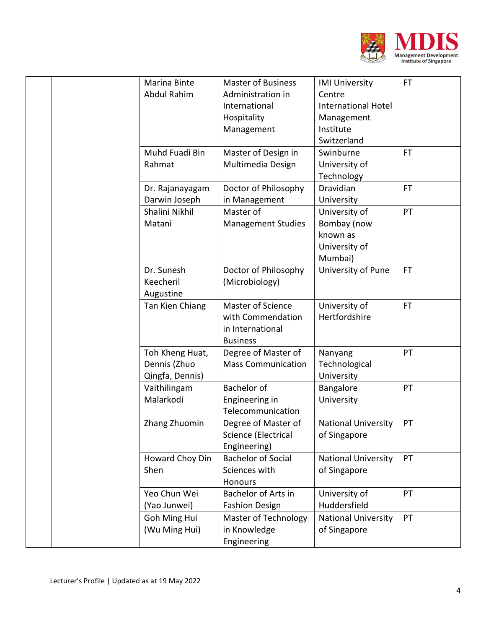

|  | Marina Binte    | <b>Master of Business</b>   | <b>IMI University</b>      | FT.       |
|--|-----------------|-----------------------------|----------------------------|-----------|
|  | Abdul Rahim     | Administration in           | Centre                     |           |
|  |                 | International               | <b>International Hotel</b> |           |
|  |                 | Hospitality                 | Management                 |           |
|  |                 | Management                  | Institute                  |           |
|  |                 |                             | Switzerland                |           |
|  | Muhd Fuadi Bin  | Master of Design in         | Swinburne                  | <b>FT</b> |
|  | Rahmat          | Multimedia Design           | University of              |           |
|  |                 |                             | Technology                 |           |
|  | Dr. Rajanayagam | Doctor of Philosophy        | Dravidian                  | <b>FT</b> |
|  | Darwin Joseph   | in Management               | University                 |           |
|  | Shalini Nikhil  | Master of                   | University of              | PT        |
|  | Matani          | <b>Management Studies</b>   | Bombay (now                |           |
|  |                 |                             | known as                   |           |
|  |                 |                             | University of              |           |
|  |                 |                             | Mumbai)                    |           |
|  | Dr. Sunesh      | Doctor of Philosophy        | University of Pune         | <b>FT</b> |
|  | Keecheril       | (Microbiology)              |                            |           |
|  | Augustine       |                             |                            |           |
|  | Tan Kien Chiang | <b>Master of Science</b>    | University of              | <b>FT</b> |
|  |                 | with Commendation           | Hertfordshire              |           |
|  |                 | in International            |                            |           |
|  |                 | <b>Business</b>             |                            |           |
|  | Toh Kheng Huat, | Degree of Master of         | Nanyang                    | PT        |
|  | Dennis (Zhuo    | <b>Mass Communication</b>   | Technological              |           |
|  | Qingfa, Dennis) |                             | University                 |           |
|  | Vaithilingam    | <b>Bachelor</b> of          | Bangalore                  | PT        |
|  | Malarkodi       | Engineering in              | University                 |           |
|  |                 | Telecommunication           |                            |           |
|  | Zhang Zhuomin   | Degree of Master of         | <b>National University</b> | PT        |
|  |                 | Science (Electrical         | of Singapore               |           |
|  |                 | Engineering)                |                            |           |
|  | Howard Choy Din | <b>Bachelor of Social</b>   | <b>National University</b> | PT        |
|  | Shen            | Sciences with               | of Singapore               |           |
|  |                 | Honours                     |                            |           |
|  | Yeo Chun Wei    | Bachelor of Arts in         | University of              | PT        |
|  | (Yao Junwei)    | <b>Fashion Design</b>       | Huddersfield               |           |
|  | Goh Ming Hui    | <b>Master of Technology</b> | <b>National University</b> | PT        |
|  | (Wu Ming Hui)   | in Knowledge                | of Singapore               |           |
|  |                 | Engineering                 |                            |           |
|  |                 |                             |                            |           |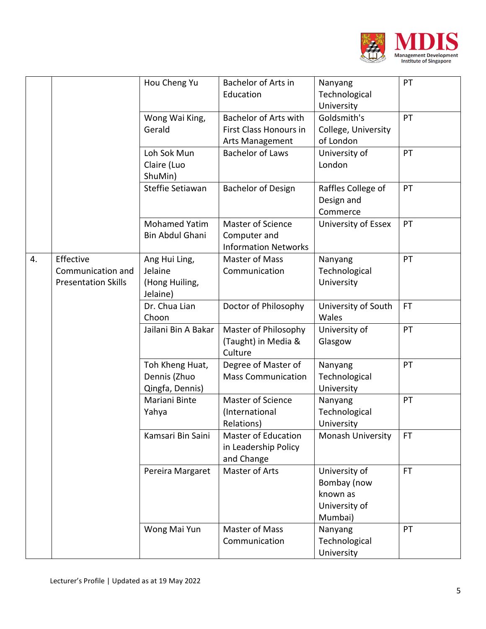

|    |                                                              | Hou Cheng Yu                                           | Bachelor of Arts in<br>Education                                   | Nanyang<br>Technological<br>University                               | PT        |
|----|--------------------------------------------------------------|--------------------------------------------------------|--------------------------------------------------------------------|----------------------------------------------------------------------|-----------|
|    |                                                              | Wong Wai King,<br>Gerald                               | Bachelor of Arts with<br>First Class Honours in<br>Arts Management | Goldsmith's<br>College, University<br>of London                      | PT        |
|    |                                                              | Loh Sok Mun<br>Claire (Luo<br>ShuMin)                  | <b>Bachelor of Laws</b>                                            | University of<br>London                                              | PT        |
|    |                                                              | Steffie Setiawan                                       | <b>Bachelor of Design</b>                                          | Raffles College of<br>Design and<br>Commerce                         | PT        |
|    |                                                              | <b>Mohamed Yatim</b><br>Bin Abdul Ghani                | Master of Science<br>Computer and<br><b>Information Networks</b>   | University of Essex                                                  | PT        |
| 4. | Effective<br>Communication and<br><b>Presentation Skills</b> | Ang Hui Ling,<br>Jelaine<br>(Hong Huiling,<br>Jelaine) | <b>Master of Mass</b><br>Communication                             | Nanyang<br>Technological<br>University                               | PT        |
|    |                                                              | Dr. Chua Lian<br>Choon                                 | Doctor of Philosophy                                               | University of South<br>Wales                                         | <b>FT</b> |
|    |                                                              | Jailani Bin A Bakar                                    | Master of Philosophy<br>(Taught) in Media &<br>Culture             | University of<br>Glasgow                                             | PT        |
|    |                                                              | Toh Kheng Huat,<br>Dennis (Zhuo<br>Qingfa, Dennis)     | Degree of Master of<br><b>Mass Communication</b>                   | Nanyang<br>Technological<br>University                               | PT        |
|    |                                                              | Mariani Binte<br>Yahya                                 | Master of Science<br>(International<br>Relations)                  | Nanyang<br>Technological<br>University                               | PT        |
|    |                                                              | Kamsari Bin Saini                                      | <b>Master of Education</b><br>in Leadership Policy<br>and Change   | Monash University                                                    | <b>FT</b> |
|    |                                                              | Pereira Margaret                                       | Master of Arts                                                     | University of<br>Bombay (now<br>known as<br>University of<br>Mumbai) | <b>FT</b> |
|    |                                                              | Wong Mai Yun                                           | <b>Master of Mass</b><br>Communication                             | Nanyang<br>Technological<br>University                               | PT        |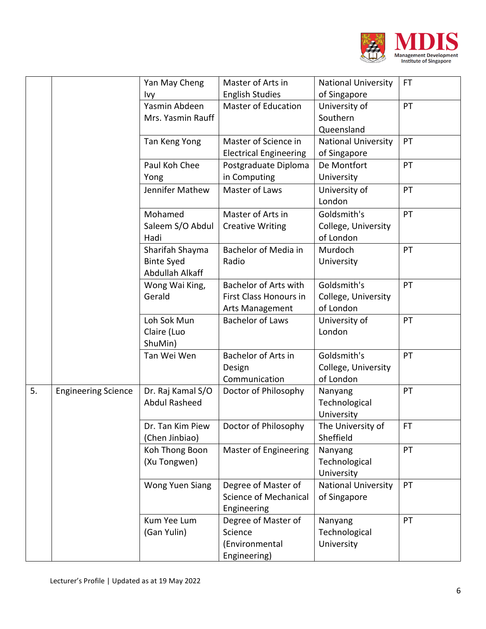

|    |                            | Yan May Cheng        | Master of Arts in             | <b>National University</b> | FT. |
|----|----------------------------|----------------------|-------------------------------|----------------------------|-----|
|    |                            | <b>Ivy</b>           | <b>English Studies</b>        | of Singapore               |     |
|    |                            | Yasmin Abdeen        | <b>Master of Education</b>    | University of              | PT  |
|    |                            | Mrs. Yasmin Rauff    |                               | Southern                   |     |
|    |                            |                      |                               | Queensland                 |     |
|    |                            | Tan Keng Yong        | Master of Science in          | <b>National University</b> | PT  |
|    |                            |                      | <b>Electrical Engineering</b> | of Singapore               |     |
|    |                            | Paul Koh Chee        | Postgraduate Diploma          | De Montfort                | PT  |
|    |                            | Yong                 | in Computing                  | University                 |     |
|    |                            | Jennifer Mathew      | Master of Laws                | University of              | PT  |
|    |                            |                      |                               | London                     |     |
|    |                            | Mohamed              | Master of Arts in             | Goldsmith's                | PT  |
|    |                            | Saleem S/O Abdul     | <b>Creative Writing</b>       | College, University        |     |
|    |                            | Hadi                 |                               | of London                  |     |
|    |                            | Sharifah Shayma      | Bachelor of Media in          | Murdoch                    | PT  |
|    |                            | <b>Binte Syed</b>    | Radio                         | University                 |     |
|    |                            | Abdullah Alkaff      |                               |                            |     |
|    |                            | Wong Wai King,       | <b>Bachelor of Arts with</b>  | Goldsmith's                | PT  |
|    |                            | Gerald               | First Class Honours in        | College, University        |     |
|    |                            |                      | Arts Management               | of London                  |     |
|    |                            | Loh Sok Mun          | <b>Bachelor of Laws</b>       | University of              | PT  |
|    |                            | Claire (Luo          |                               | London                     |     |
|    |                            | ShuMin)              |                               |                            |     |
|    |                            | Tan Wei Wen          | Bachelor of Arts in           | Goldsmith's                | PT  |
|    |                            |                      | Design                        | College, University        |     |
|    |                            |                      | Communication                 | of London                  |     |
| 5. | <b>Engineering Science</b> | Dr. Raj Kamal S/O    | Doctor of Philosophy          | Nanyang                    | PT  |
|    |                            | <b>Abdul Rasheed</b> |                               | Technological              |     |
|    |                            |                      |                               | University                 |     |
|    |                            | Dr. Tan Kim Piew     | Doctor of Philosophy          | The University of          | FT  |
|    |                            | (Chen Jinbiao)       |                               | Sheffield                  |     |
|    |                            | Koh Thong Boon       | <b>Master of Engineering</b>  | Nanyang                    | PT  |
|    |                            | (Xu Tongwen)         |                               | Technological              |     |
|    |                            |                      |                               | University                 |     |
|    |                            | Wong Yuen Siang      | Degree of Master of           | <b>National University</b> | PT  |
|    |                            |                      | <b>Science of Mechanical</b>  | of Singapore               |     |
|    |                            |                      | Engineering                   |                            |     |
|    |                            | Kum Yee Lum          | Degree of Master of           | Nanyang                    | PT  |
|    |                            | (Gan Yulin)          | Science                       | Technological              |     |
|    |                            |                      | (Environmental                | University                 |     |
|    |                            |                      | Engineering)                  |                            |     |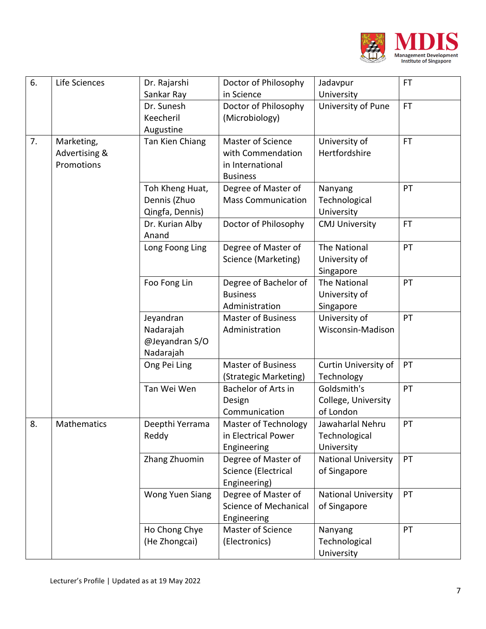

| 6. | Life Sciences      | Dr. Rajarshi             | Doctor of Philosophy      | Jadavpur                         | <b>FT</b> |
|----|--------------------|--------------------------|---------------------------|----------------------------------|-----------|
|    |                    | Sankar Ray               | in Science                | University                       |           |
|    |                    | Dr. Sunesh               | Doctor of Philosophy      | University of Pune               | <b>FT</b> |
|    |                    | Keecheril                | (Microbiology)            |                                  |           |
|    |                    | Augustine                |                           |                                  |           |
| 7. | Marketing,         | Tan Kien Chiang          | Master of Science         | University of                    | <b>FT</b> |
|    | Advertising &      |                          | with Commendation         | Hertfordshire                    |           |
|    | Promotions         |                          | in International          |                                  |           |
|    |                    |                          | <b>Business</b>           |                                  |           |
|    |                    | Toh Kheng Huat,          | Degree of Master of       | Nanyang                          | PT        |
|    |                    | Dennis (Zhuo             | <b>Mass Communication</b> | Technological                    |           |
|    |                    | Qingfa, Dennis)          |                           | University                       |           |
|    |                    | Dr. Kurian Alby<br>Anand | Doctor of Philosophy      | <b>CMJ University</b>            | <b>FT</b> |
|    |                    | Long Foong Ling          | Degree of Master of       | <b>The National</b>              | PT        |
|    |                    |                          | Science (Marketing)       | University of                    |           |
|    |                    |                          |                           | Singapore                        |           |
|    |                    | Foo Fong Lin             | Degree of Bachelor of     | <b>The National</b>              | PT        |
|    |                    |                          | <b>Business</b>           | University of                    |           |
|    |                    |                          | Administration            | Singapore                        |           |
|    |                    | Jeyandran                | <b>Master of Business</b> | University of                    | PT        |
|    |                    | Nadarajah                | Administration            | Wisconsin-Madison                |           |
|    |                    | @Jeyandran S/O           |                           |                                  |           |
|    |                    | Nadarajah                |                           |                                  |           |
|    |                    | Ong Pei Ling             | <b>Master of Business</b> | Curtin University of             | PT        |
|    |                    |                          | (Strategic Marketing)     | Technology                       |           |
|    |                    | Tan Wei Wen              | Bachelor of Arts in       | Goldsmith's                      | PT        |
|    |                    |                          | Design<br>Communication   | College, University<br>of London |           |
| 8. | <b>Mathematics</b> | Deepthi Yerrama          | Master of Technology      | Jawaharlal Nehru                 | PT        |
|    |                    | Reddy                    | in Electrical Power       | Technological                    |           |
|    |                    |                          | Engineering               | University                       |           |
|    |                    | Zhang Zhuomin            | Degree of Master of       | <b>National University</b>       | PT        |
|    |                    |                          | Science (Electrical       | of Singapore                     |           |
|    |                    |                          | Engineering)              |                                  |           |
|    |                    | Wong Yuen Siang          | Degree of Master of       | <b>National University</b>       | PT        |
|    |                    |                          | Science of Mechanical     | of Singapore                     |           |
|    |                    |                          | Engineering               |                                  |           |
|    |                    | Ho Chong Chye            | Master of Science         | Nanyang                          | PT        |
|    |                    | (He Zhongcai)            | (Electronics)             | Technological                    |           |
|    |                    |                          |                           | University                       |           |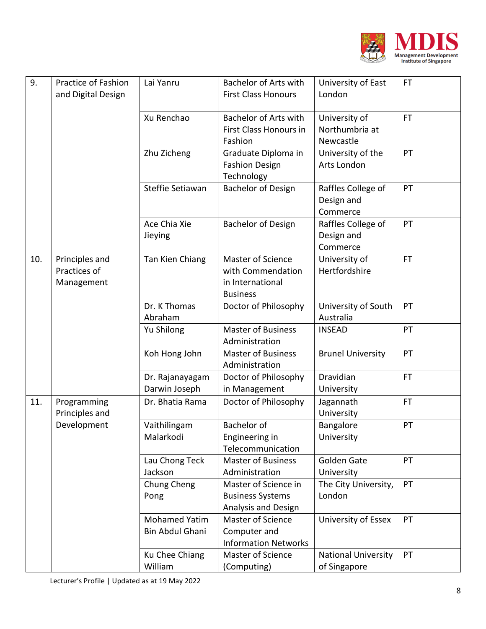

| 9.  | Practice of Fashion<br>and Digital Design    | Lai Yanru                               | <b>Bachelor of Arts with</b><br><b>First Class Honours</b>                    | University of East<br>London                 | <b>FT</b> |
|-----|----------------------------------------------|-----------------------------------------|-------------------------------------------------------------------------------|----------------------------------------------|-----------|
|     |                                              | Xu Renchao                              | <b>Bachelor of Arts with</b><br>First Class Honours in<br>Fashion             | University of<br>Northumbria at<br>Newcastle | <b>FT</b> |
|     |                                              | Zhu Zicheng                             | Graduate Diploma in<br><b>Fashion Design</b><br>Technology                    | University of the<br>Arts London             | PT        |
|     |                                              | Steffie Setiawan                        | <b>Bachelor of Design</b>                                                     | Raffles College of<br>Design and<br>Commerce | PT        |
|     |                                              | Ace Chia Xie<br>Jieying                 | <b>Bachelor of Design</b>                                                     | Raffles College of<br>Design and<br>Commerce | PT        |
| 10. | Principles and<br>Practices of<br>Management | Tan Kien Chiang                         | Master of Science<br>with Commendation<br>in International<br><b>Business</b> | University of<br>Hertfordshire               | <b>FT</b> |
|     |                                              | Dr. K Thomas<br>Abraham                 | Doctor of Philosophy                                                          | University of South<br>Australia             | PT        |
|     |                                              | Yu Shilong                              | <b>Master of Business</b><br>Administration                                   | <b>INSEAD</b>                                | PT        |
|     |                                              | Koh Hong John                           | <b>Master of Business</b><br>Administration                                   | <b>Brunel University</b>                     | PT        |
|     |                                              | Dr. Rajanayagam<br>Darwin Joseph        | Doctor of Philosophy<br>in Management                                         | Dravidian<br>University                      | <b>FT</b> |
| 11. | Programming<br>Principles and                | Dr. Bhatia Rama                         | Doctor of Philosophy                                                          | Jagannath<br>University                      | <b>FT</b> |
|     | Development                                  | Vaithilingam<br>Malarkodi               | <b>Bachelor</b> of<br>Engineering in<br>Telecommunication                     | Bangalore<br>University                      | PT        |
|     |                                              | Lau Chong Teck<br>Jackson               | <b>Master of Business</b><br>Administration                                   | Golden Gate<br>University                    | PT        |
|     |                                              | Chung Cheng<br>Pong                     | Master of Science in<br><b>Business Systems</b><br>Analysis and Design        | The City University,<br>London               | PT        |
|     |                                              | <b>Mohamed Yatim</b><br>Bin Abdul Ghani | Master of Science<br>Computer and<br><b>Information Networks</b>              | University of Essex                          | PT        |
|     |                                              | Ku Chee Chiang<br>William               | Master of Science<br>(Computing)                                              | <b>National University</b><br>of Singapore   | PT        |